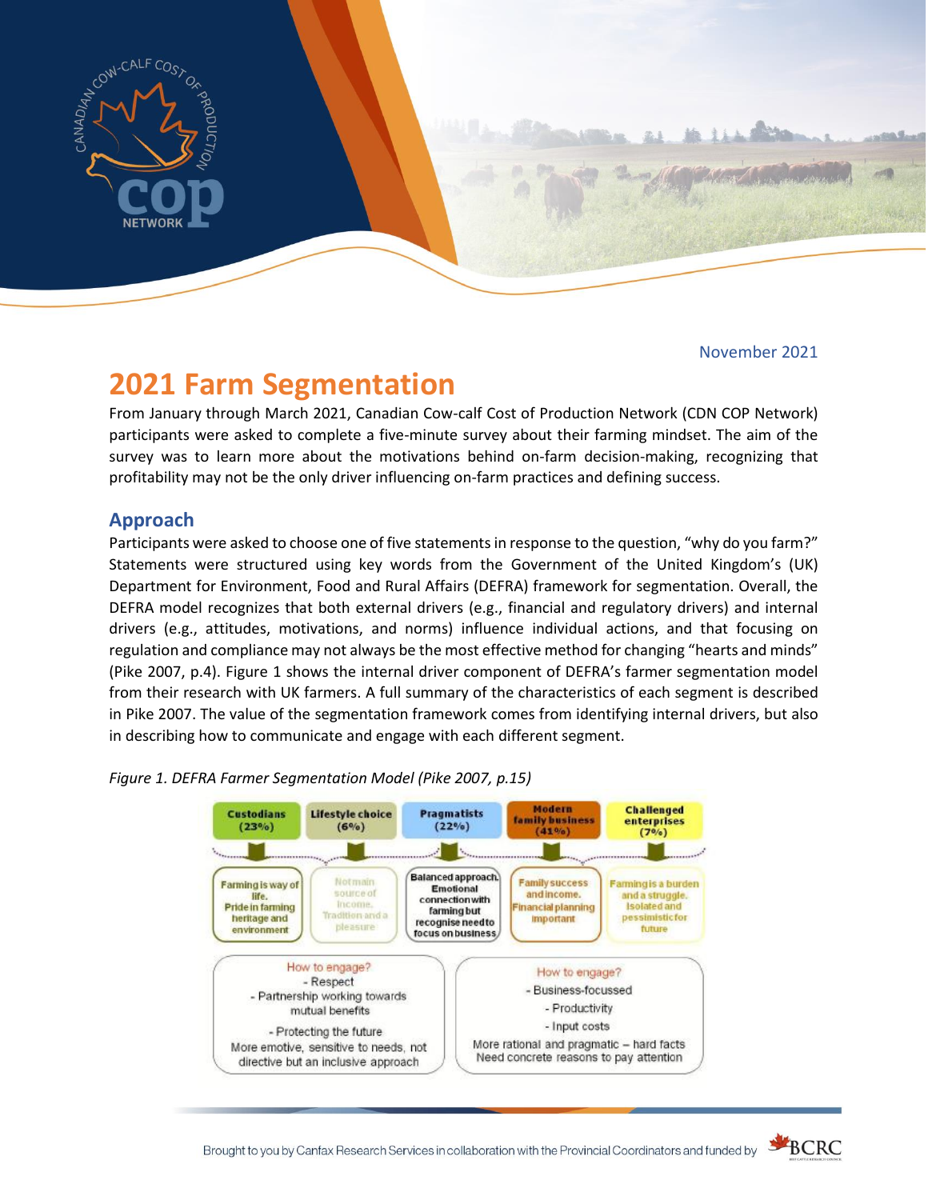

November 2021

# **2021 Farm Segmentation**

From January through March 2021, Canadian Cow-calf Cost of Production Network (CDN COP Network) participants were asked to complete a five-minute survey about their farming mindset. The aim of the survey was to learn more about the motivations behind on-farm decision-making, recognizing that profitability may not be the only driver influencing on-farm practices and defining success.

# **Approach**

Participants were asked to choose one of five statements in response to the question, "why do you farm?" Statements were structured using key words from the Government of the United Kingdom's (UK) Department for Environment, Food and Rural Affairs (DEFRA) framework for segmentation. Overall, the DEFRA model recognizes that both external drivers (e.g., financial and regulatory drivers) and internal drivers (e.g., attitudes, motivations, and norms) influence individual actions, and that focusing on regulation and compliance may not always be the most effective method for changing "hearts and minds" (Pike 2007, p.4). Figure 1 shows the internal driver component of DEFRA's farmer segmentation model from their research with UK farmers. A full summary of the characteristics of each segment is described in Pike 2007. The value of the segmentation framework comes from identifying internal drivers, but also in describing how to communicate and engage with each different segment.

*Figure 1. DEFRA Farmer Segmentation Model (Pike 2007, p.15)*



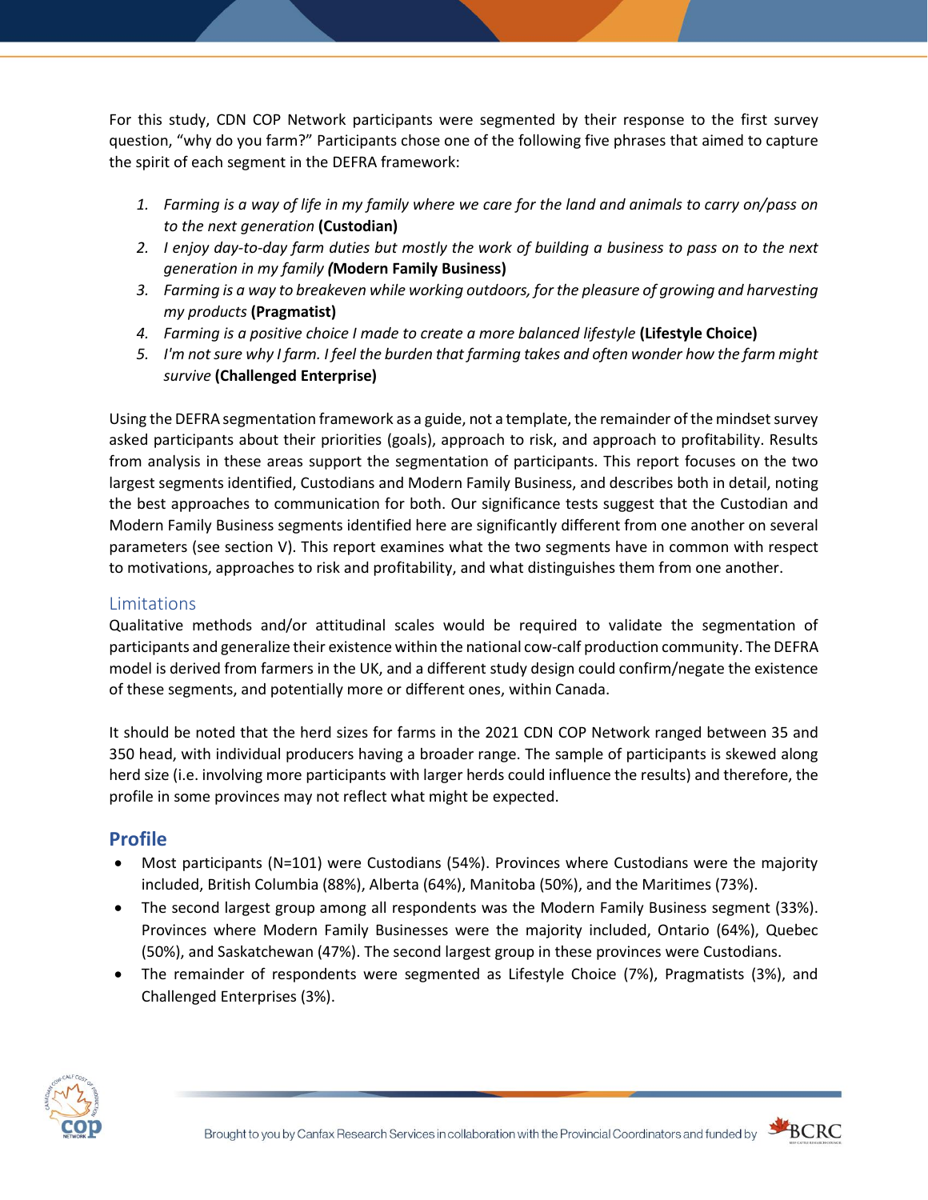For this study, CDN COP Network participants were segmented by their response to the first survey question, "why do you farm?" Participants chose one of the following five phrases that aimed to capture the spirit of each segment in the DEFRA framework:

- *1. Farming is a way of life in my family where we care for the land and animals to carry on/pass on to the next generation* **(Custodian)**
- *2. I enjoy day-to-day farm duties but mostly the work of building a business to pass on to the next generation in my family (***Modern Family Business)**
- *3. Farming is a way to breakeven while working outdoors, for the pleasure of growing and harvesting my products* **(Pragmatist)**
- *4. Farming is a positive choice I made to create a more balanced lifestyle* **(Lifestyle Choice)**
- *5. I'm not sure why I farm. I feel the burden that farming takes and often wonder how the farm might survive* **(Challenged Enterprise)**

Using the DEFRA segmentation framework as a guide, not a template, the remainder of the mindset survey asked participants about their priorities (goals), approach to risk, and approach to profitability. Results from analysis in these areas support the segmentation of participants. This report focuses on the two largest segments identified, Custodians and Modern Family Business, and describes both in detail, noting the best approaches to communication for both. Our significance tests suggest that the Custodian and Modern Family Business segments identified here are significantly different from one another on several parameters (see section V). This report examines what the two segments have in common with respect to motivations, approaches to risk and profitability, and what distinguishes them from one another.

# Limitations

Qualitative methods and/or attitudinal scales would be required to validate the segmentation of participants and generalize their existence within the national cow-calf production community. The DEFRA model is derived from farmers in the UK, and a different study design could confirm/negate the existence of these segments, and potentially more or different ones, within Canada.

It should be noted that the herd sizes for farms in the 2021 CDN COP Network ranged between 35 and 350 head, with individual producers having a broader range. The sample of participants is skewed along herd size (i.e. involving more participants with larger herds could influence the results) and therefore, the profile in some provinces may not reflect what might be expected.

# **Profile**

- Most participants (N=101) were Custodians (54%). Provinces where Custodians were the majority included, British Columbia (88%), Alberta (64%), Manitoba (50%), and the Maritimes (73%).
- The second largest group among all respondents was the Modern Family Business segment (33%). Provinces where Modern Family Businesses were the majority included, Ontario (64%), Quebec (50%), and Saskatchewan (47%). The second largest group in these provinces were Custodians.
- The remainder of respondents were segmented as Lifestyle Choice (7%), Pragmatists (3%), and Challenged Enterprises (3%).



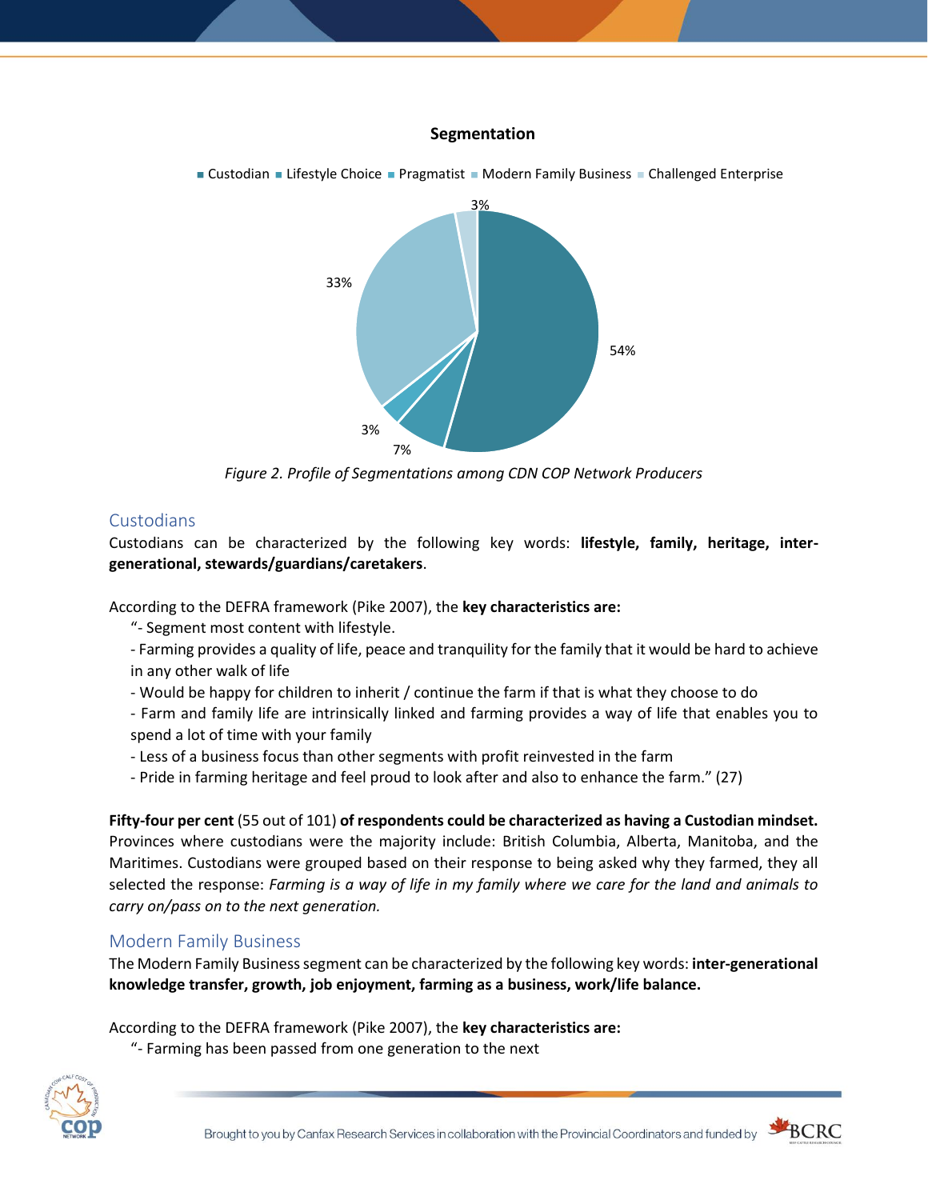#### **Segmentation**



*Figure 2. Profile of Segmentations among CDN COP Network Producers*

## **Custodians**

Custodians can be characterized by the following key words: **lifestyle, family, heritage, intergenerational, stewards/guardians/caretakers**.

According to the DEFRA framework (Pike 2007), the **key characteristics are:**

- "- Segment most content with lifestyle.
- Farming provides a quality of life, peace and tranquility for the family that it would be hard to achieve in any other walk of life
- Would be happy for children to inherit / continue the farm if that is what they choose to do

- Farm and family life are intrinsically linked and farming provides a way of life that enables you to spend a lot of time with your family

- Less of a business focus than other segments with profit reinvested in the farm
- Pride in farming heritage and feel proud to look after and also to enhance the farm." (27)

**Fifty-four per cent** (55 out of 101) **of respondents could be characterized as having a Custodian mindset.** Provinces where custodians were the majority include: British Columbia, Alberta, Manitoba, and the Maritimes. Custodians were grouped based on their response to being asked why they farmed, they all selected the response: *Farming is a way of life in my family where we care for the land and animals to carry on/pass on to the next generation.* 

## Modern Family Business

The Modern Family Business segment can be characterized by the following key words: **inter-generational knowledge transfer, growth, job enjoyment, farming as a business, work/life balance.**

According to the DEFRA framework (Pike 2007), the **key characteristics are:**

"- Farming has been passed from one generation to the next



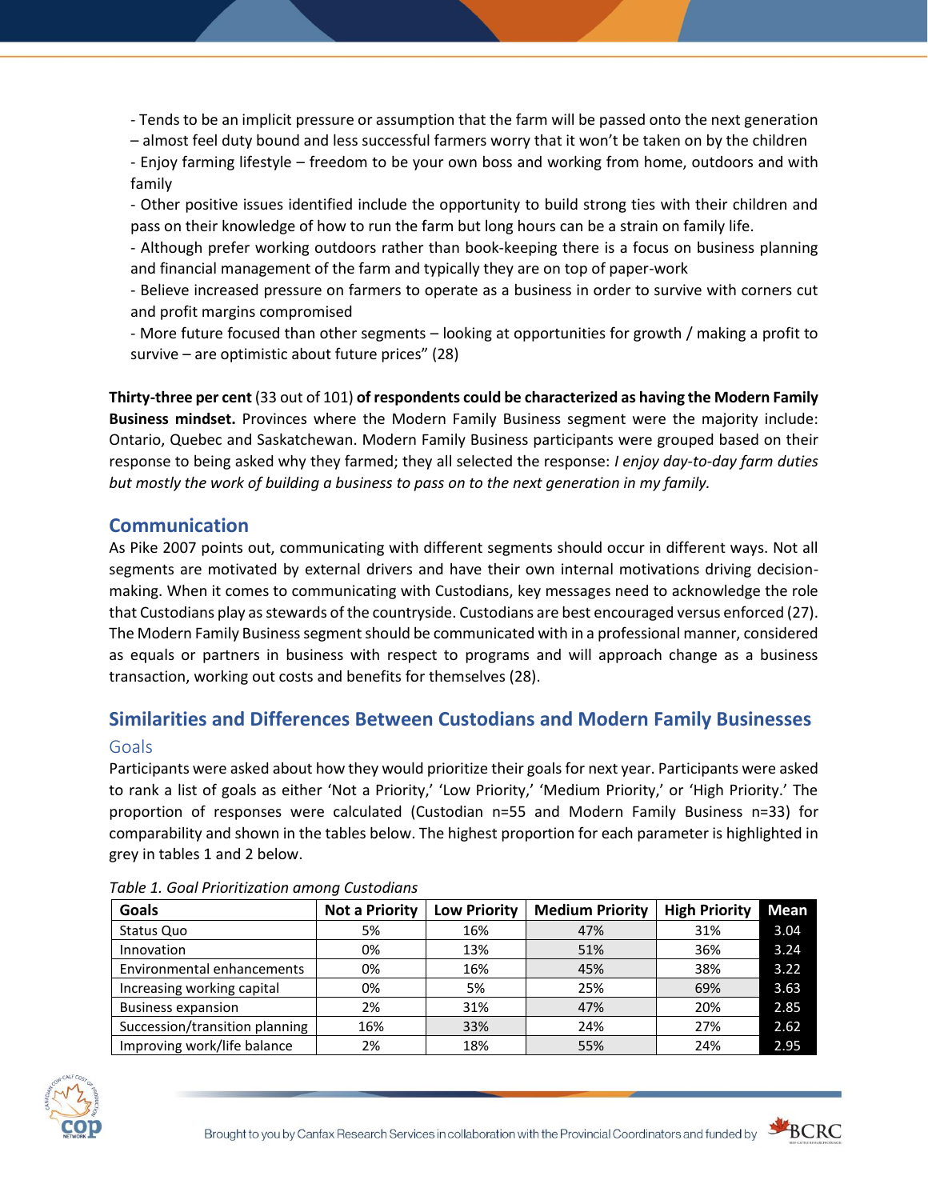- Tends to be an implicit pressure or assumption that the farm will be passed onto the next generation

– almost feel duty bound and less successful farmers worry that it won't be taken on by the children

- Enjoy farming lifestyle – freedom to be your own boss and working from home, outdoors and with family

- Other positive issues identified include the opportunity to build strong ties with their children and pass on their knowledge of how to run the farm but long hours can be a strain on family life.

- Although prefer working outdoors rather than book-keeping there is a focus on business planning and financial management of the farm and typically they are on top of paper-work

- Believe increased pressure on farmers to operate as a business in order to survive with corners cut and profit margins compromised

- More future focused than other segments – looking at opportunities for growth / making a profit to survive – are optimistic about future prices" (28)

**Thirty-three per cent** (33 out of 101) **of respondents could be characterized as having the Modern Family Business mindset.** Provinces where the Modern Family Business segment were the majority include: Ontario, Quebec and Saskatchewan. Modern Family Business participants were grouped based on their response to being asked why they farmed; they all selected the response: *I enjoy day-to-day farm duties but mostly the work of building a business to pass on to the next generation in my family.*

## **Communication**

As Pike 2007 points out, communicating with different segments should occur in different ways. Not all segments are motivated by external drivers and have their own internal motivations driving decisionmaking. When it comes to communicating with Custodians, key messages need to acknowledge the role that Custodians play as stewards of the countryside. Custodians are best encouraged versus enforced (27). The Modern Family Business segment should be communicated with in a professional manner, considered as equals or partners in business with respect to programs and will approach change as a business transaction, working out costs and benefits for themselves (28).

# **Similarities and Differences Between Custodians and Modern Family Businesses** Goals

Participants were asked about how they would prioritize their goals for next year. Participants were asked to rank a list of goals as either 'Not a Priority,' 'Low Priority,' 'Medium Priority,' or 'High Priority.' The proportion of responses were calculated (Custodian n=55 and Modern Family Business n=33) for comparability and shown in the tables below. The highest proportion for each parameter is highlighted in grey in tables 1 and 2 below.

| Goals                          | <b>Not a Priority</b> | <b>Low Priority</b> | <b>Medium Priority</b> | <b>High Priority</b> | Mean |
|--------------------------------|-----------------------|---------------------|------------------------|----------------------|------|
| Status Quo                     | 5%                    | 16%                 | 47%                    | 31%                  | 3.04 |
| Innovation                     | 0%                    | 13%                 | 51%                    | 36%                  | 3.24 |
| Environmental enhancements     | 0%                    | 16%                 | 45%                    | 38%                  | 3.22 |
| Increasing working capital     | 0%                    | 5%                  | 25%                    | 69%                  | 3.63 |
| <b>Business expansion</b>      | 2%                    | 31%                 | 47%                    | 20%                  | 2.85 |
| Succession/transition planning | 16%                   | 33%                 | 24%                    | 27%                  | 2.62 |
| Improving work/life balance    | 2%                    | 18%                 | 55%                    | 24%                  | 2.95 |

*Table 1. Goal Prioritization among Custodians*



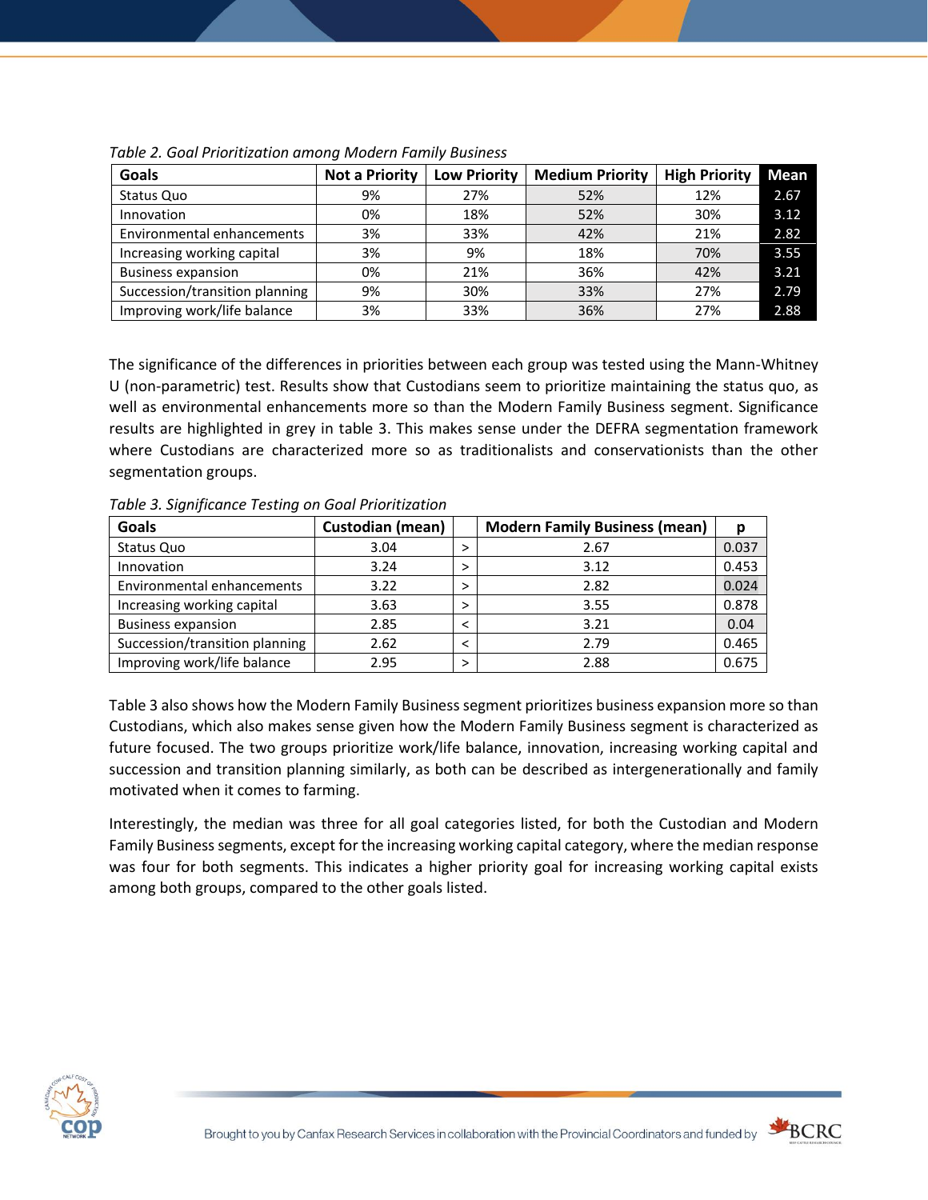| Goals                          | <b>Not a Priority</b> | <b>Low Priority</b> | <b>Medium Priority</b> | <b>High Priority</b> | <b>Mean</b> |
|--------------------------------|-----------------------|---------------------|------------------------|----------------------|-------------|
| Status Quo                     | 9%                    | 27%                 | 52%                    | 12%                  | 2.67        |
| Innovation                     | 0%                    | 18%                 | 52%                    | 30%                  | 3.12        |
| Environmental enhancements     | 3%                    | 33%                 | 42%                    | 21%                  | 2.82        |
| Increasing working capital     | 3%                    | 9%                  | 18%                    | 70%                  | 3.55        |
| <b>Business expansion</b>      | 0%                    | 21%                 | 36%                    | 42%                  | 3.21        |
| Succession/transition planning | 9%                    | 30%                 | 33%                    | 27%                  | 2.79        |
| Improving work/life balance    | 3%                    | 33%                 | 36%                    | 27%                  | 2.88        |

*Table 2. Goal Prioritization among Modern Family Business*

The significance of the differences in priorities between each group was tested using the Mann-Whitney U (non-parametric) test. Results show that Custodians seem to prioritize maintaining the status quo, as well as environmental enhancements more so than the Modern Family Business segment. Significance results are highlighted in grey in table 3. This makes sense under the DEFRA segmentation framework where Custodians are characterized more so as traditionalists and conservationists than the other segmentation groups.

*Table 3. Significance Testing on Goal Prioritization*

| Goals                          | <b>Custodian (mean)</b> |   | <b>Modern Family Business (mean)</b> | D     |
|--------------------------------|-------------------------|---|--------------------------------------|-------|
| Status Quo                     | 3.04                    |   | 2.67                                 | 0.037 |
| Innovation                     | 3.24                    |   | 3.12                                 | 0.453 |
| Environmental enhancements     | 3.22                    |   | 2.82                                 | 0.024 |
| Increasing working capital     | 3.63                    |   | 3.55                                 | 0.878 |
| <b>Business expansion</b>      | 2.85                    |   | 3.21                                 | 0.04  |
| Succession/transition planning | 2.62                    |   | 2.79                                 | 0.465 |
| Improving work/life balance    | 2.95                    | ↘ | 2.88                                 | 0.675 |

Table 3 also shows how the Modern Family Business segment prioritizes business expansion more so than Custodians, which also makes sense given how the Modern Family Business segment is characterized as future focused. The two groups prioritize work/life balance, innovation, increasing working capital and succession and transition planning similarly, as both can be described as intergenerationally and family motivated when it comes to farming.

Interestingly, the median was three for all goal categories listed, for both the Custodian and Modern Family Business segments, except for the increasing working capital category, where the median response was four for both segments. This indicates a higher priority goal for increasing working capital exists among both groups, compared to the other goals listed.



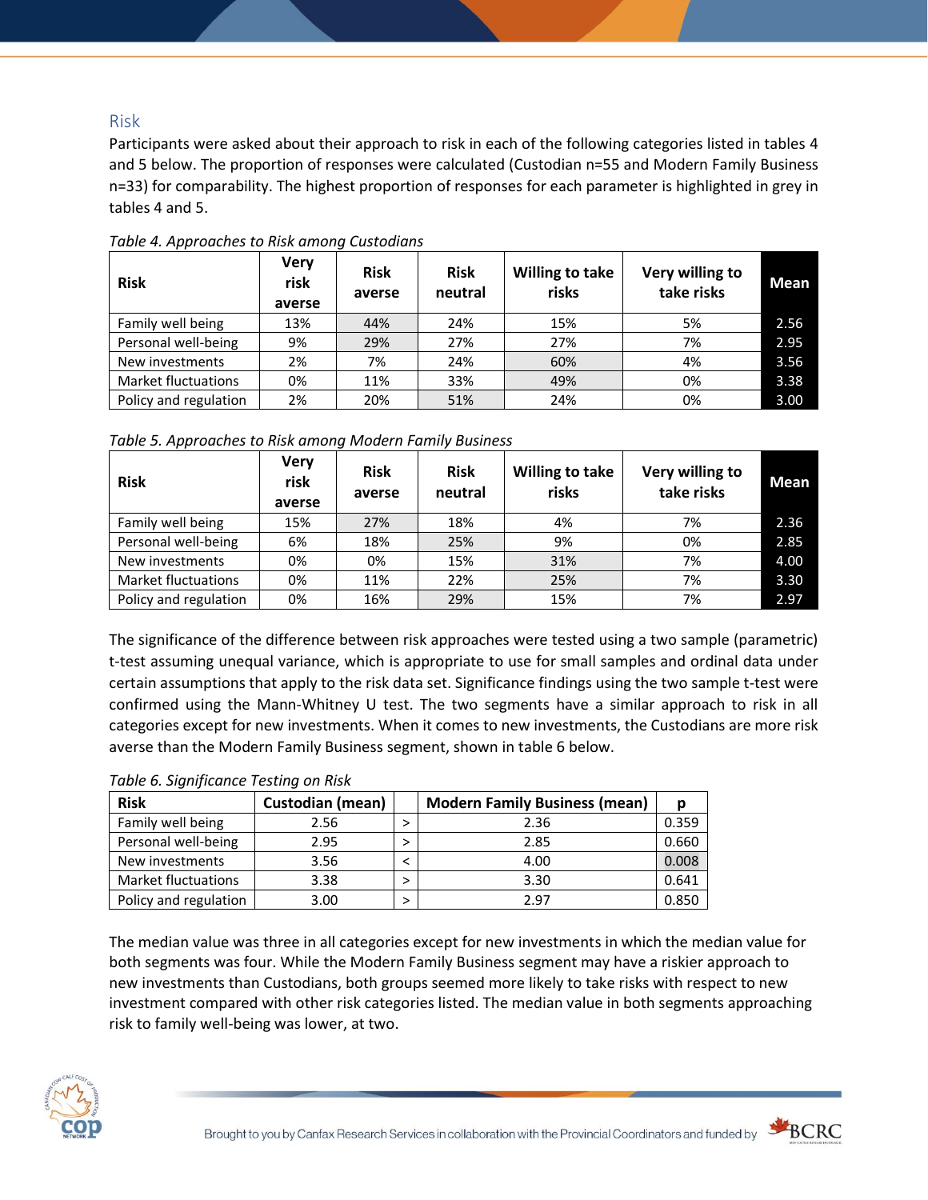## Risk

Participants were asked about their approach to risk in each of the following categories listed in tables 4 and 5 below. The proportion of responses were calculated (Custodian n=55 and Modern Family Business n=33) for comparability. The highest proportion of responses for each parameter is highlighted in grey in tables 4 and 5.

| <b>Risk</b>                | <b>Very</b><br>risk<br>averse | <b>Risk</b><br>averse | <b>Risk</b><br>neutral | <b>Willing to take</b><br>risks | Very willing to<br>take risks | <b>Mean</b> |
|----------------------------|-------------------------------|-----------------------|------------------------|---------------------------------|-------------------------------|-------------|
| Family well being          | 13%                           | 44%                   | 24%                    | 15%                             | 5%                            | 2.56        |
| Personal well-being        | 9%                            | 29%                   | 27%                    | 27%                             | 7%                            | 2.95        |
| New investments            | 2%                            | 7%                    | 24%                    | 60%                             | 4%                            | 3.56        |
| <b>Market fluctuations</b> | 0%                            | 11%                   | 33%                    | 49%                             | 0%                            | 3.38        |
| Policy and regulation      | 2%                            | 20%                   | 51%                    | 24%                             | 0%                            | 3.00        |

*Table 4. Approaches to Risk among Custodians*

| Table 5. Approaches to Risk among Modern Family Business |  |  |  |
|----------------------------------------------------------|--|--|--|
|----------------------------------------------------------|--|--|--|

| <b>Risk</b>                | <b>Very</b><br>risk<br>averse | <b>Risk</b><br>averse | <b>Risk</b><br>neutral | <b>Willing to take</b><br>risks | Very willing to<br>take risks | <b>Mean</b> |
|----------------------------|-------------------------------|-----------------------|------------------------|---------------------------------|-------------------------------|-------------|
| Family well being          | 15%                           | 27%                   | 18%                    | 4%                              | 7%                            | 2.36        |
| Personal well-being        | 6%                            | 18%                   | 25%                    | 9%                              | 0%                            | 2.85        |
| New investments            | 0%                            | 0%                    | 15%                    | 31%                             | 7%                            | 4.00        |
| <b>Market fluctuations</b> | 0%                            | 11%                   | 22%                    | 25%                             | 7%                            | 3.30        |
| Policy and regulation      | 0%                            | 16%                   | 29%                    | 15%                             | 7%                            | 2.97        |

The significance of the difference between risk approaches were tested using a two sample (parametric) t-test assuming unequal variance, which is appropriate to use for small samples and ordinal data under certain assumptions that apply to the risk data set. Significance findings using the two sample t-test were confirmed using the Mann-Whitney U test. The two segments have a similar approach to risk in all categories except for new investments. When it comes to new investments, the Custodians are more risk averse than the Modern Family Business segment, shown in table 6 below.

#### *Table 6. Significance Testing on Risk*

| <b>Risk</b>                | Custodian (mean) | <b>Modern Family Business (mean)</b> |       |
|----------------------------|------------------|--------------------------------------|-------|
| Family well being          | 2.56             | 2.36                                 | 0.359 |
| Personal well-being        | 2.95             | 2.85                                 | 0.660 |
| New investments            | 3.56             | 4.00                                 | 0.008 |
| <b>Market fluctuations</b> | 3.38             | 3.30                                 | 0.641 |
| Policy and regulation      | 3.00             | 297                                  | 0.850 |

The median value was three in all categories except for new investments in which the median value for both segments was four. While the Modern Family Business segment may have a riskier approach to new investments than Custodians, both groups seemed more likely to take risks with respect to new investment compared with other risk categories listed. The median value in both segments approaching risk to family well-being was lower, at two.



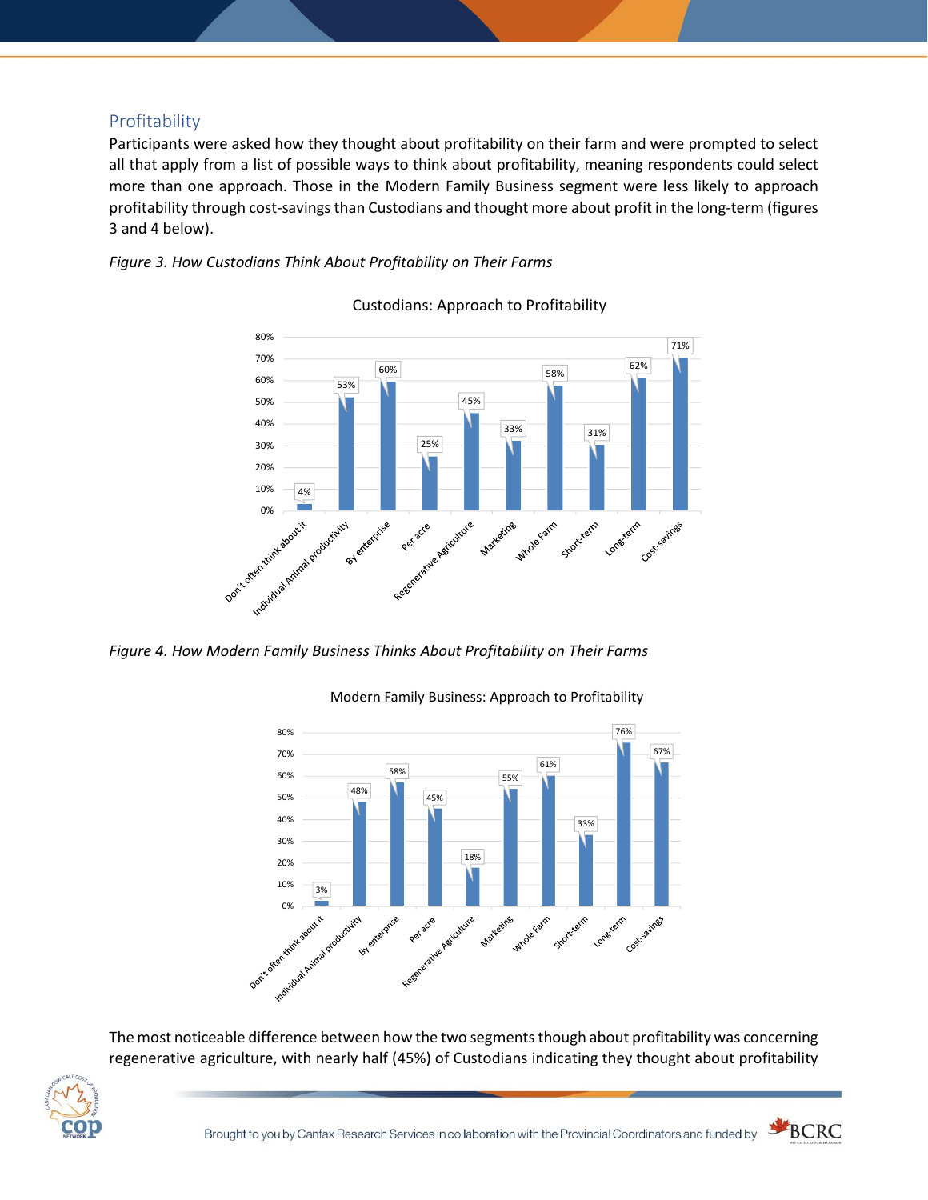# Profitability

Participants were asked how they thought about profitability on their farm and were prompted to select all that apply from a list of possible ways to think about profitability, meaning respondents could select more than one approach. Those in the Modern Family Business segment were less likely to approach profitability through cost-savings than Custodians and thought more about profit in the long-term (figures 3 and 4 below).





Custodians: Approach to Profitability

*Figure 4. How Modern Family Business Thinks About Profitability on Their Farms*



Modern Family Business: Approach to Profitability

The most noticeable difference between how the two segments though about profitability was concerning regenerative agriculture, with nearly half (45%) of Custodians indicating they thought about profitability